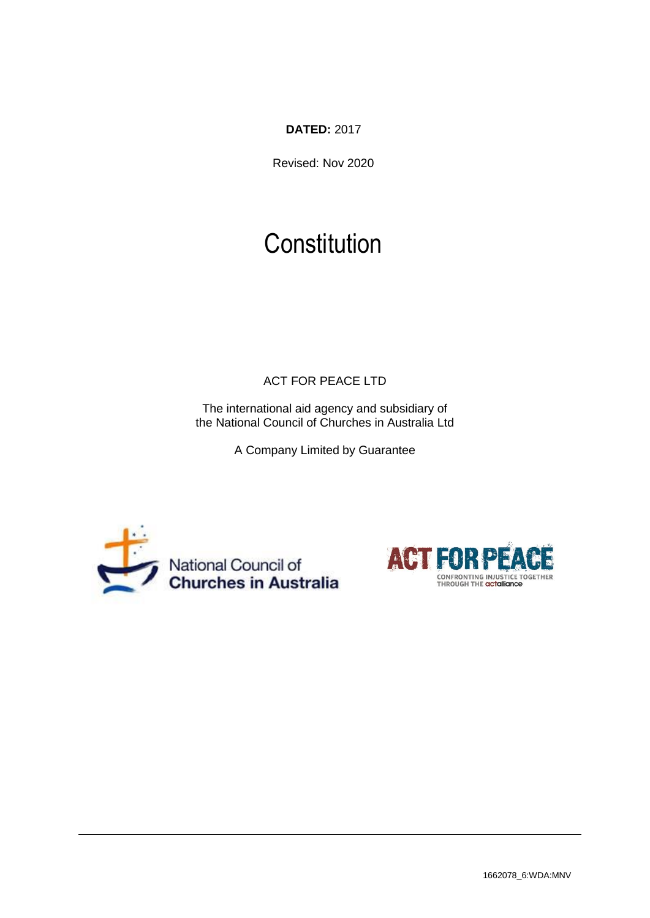**DATED:** 2017

Revised: Nov 2020

# **Constitution**

ACT FOR PEACE LTD

The international aid agency and subsidiary of the National Council of Churches in Australia Ltd

A Company Limited by Guarantee



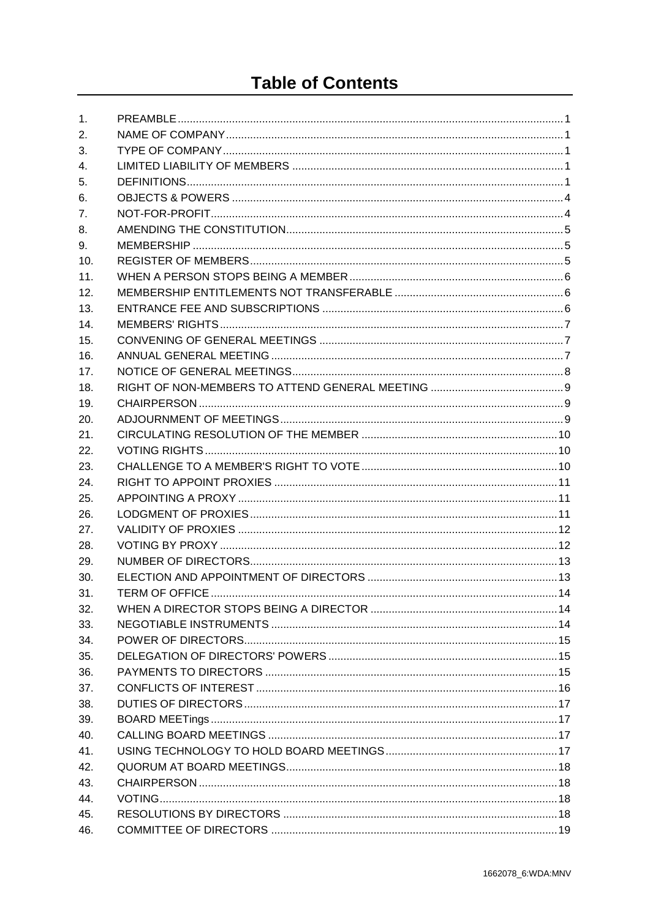## **Table of Contents**

| 1.             |  |
|----------------|--|
| 2.             |  |
| 3.             |  |
| 4.             |  |
| 5.             |  |
| 6.             |  |
| 7 <sub>1</sub> |  |
| 8.             |  |
| 9.             |  |
| 10.            |  |
| 11.            |  |
| 12.            |  |
| 13.            |  |
| 14.            |  |
| 15.            |  |
| 16.            |  |
| 17.            |  |
| 18.            |  |
| 19.            |  |
| 20.            |  |
| 21.            |  |
| 22.            |  |
| 23.            |  |
| 24.            |  |
| 25.            |  |
| 26.            |  |
| 27.            |  |
| 28.            |  |
| 29.            |  |
| 30.            |  |
| 31.            |  |
| 32.            |  |
| 33.            |  |
| 34.            |  |
| 35.            |  |
| 36.            |  |
| 37.            |  |
| 38.            |  |
| 39.            |  |
| 40.            |  |
| 41.            |  |
| 42.            |  |
| 43.            |  |
| 44.            |  |
| 45.            |  |
| 46.            |  |
|                |  |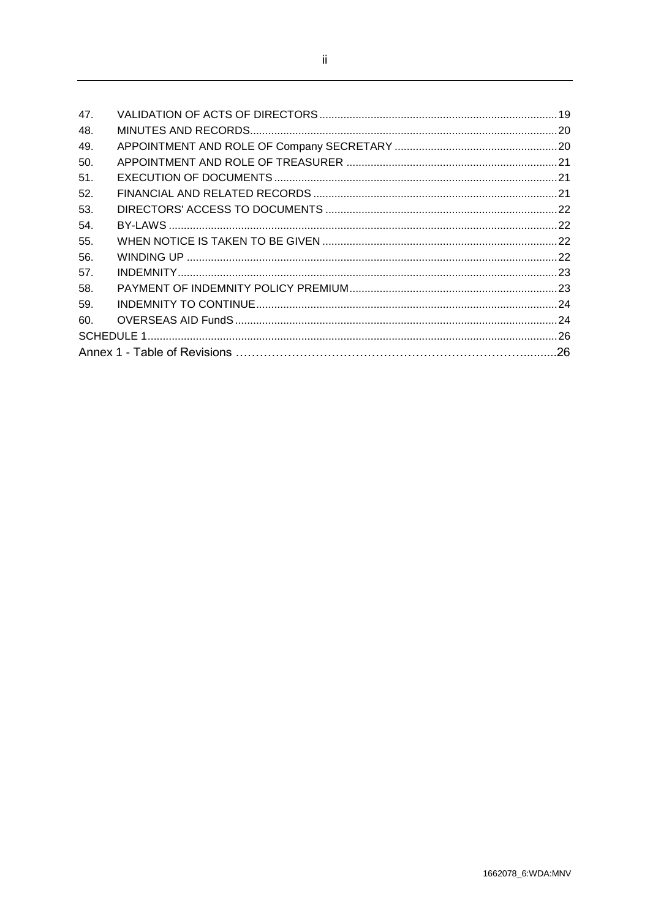| 47. |  |  |  |
|-----|--|--|--|
| 48. |  |  |  |
| 49. |  |  |  |
| 50. |  |  |  |
| 51. |  |  |  |
| 52. |  |  |  |
| 53. |  |  |  |
| 54. |  |  |  |
| 55. |  |  |  |
| 56. |  |  |  |
| 57. |  |  |  |
| 58. |  |  |  |
| 59. |  |  |  |
| 60. |  |  |  |
|     |  |  |  |
|     |  |  |  |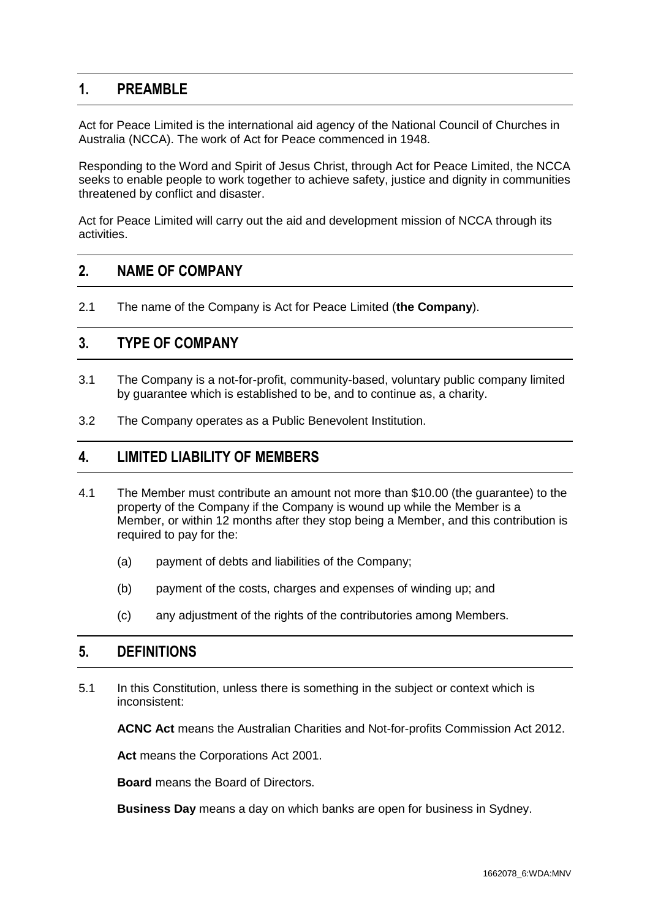## <span id="page-3-0"></span>**1. PREAMBLE**

Act for Peace Limited is the international aid agency of the National Council of Churches in Australia (NCCA). The work of Act for Peace commenced in 1948.

Responding to the Word and Spirit of Jesus Christ, through Act for Peace Limited, the NCCA seeks to enable people to work together to achieve safety, justice and dignity in communities threatened by conflict and disaster.

Act for Peace Limited will carry out the aid and development mission of NCCA through its activities.

#### <span id="page-3-1"></span>**2. NAME OF COMPANY**

2.1 The name of the Company is Act for Peace Limited (**the Company**).

#### <span id="page-3-2"></span>**3. TYPE OF COMPANY**

- 3.1 The Company is a not-for-profit, community-based, voluntary public company limited by guarantee which is established to be, and to continue as, a charity.
- 3.2 The Company operates as a Public Benevolent Institution.

#### <span id="page-3-3"></span>**4. LIMITED LIABILITY OF MEMBERS**

- 4.1 The Member must contribute an amount not more than \$10.00 (the guarantee) to the property of the Company if the Company is wound up while the Member is a Member, or within 12 months after they stop being a Member, and this contribution is required to pay for the:
	- (a) payment of debts and liabilities of the Company;
	- (b) payment of the costs, charges and expenses of winding up; and
	- (c) any adjustment of the rights of the contributories among Members.

## <span id="page-3-4"></span>**5. DEFINITIONS**

5.1 In this Constitution, unless there is something in the subject or context which is inconsistent:

**ACNC Act** means the Australian Charities and Not-for-profits Commission Act 2012.

**Act** means the Corporations Act 2001.

**Board** means the Board of Directors.

**Business Day** means a day on which banks are open for business in Sydney.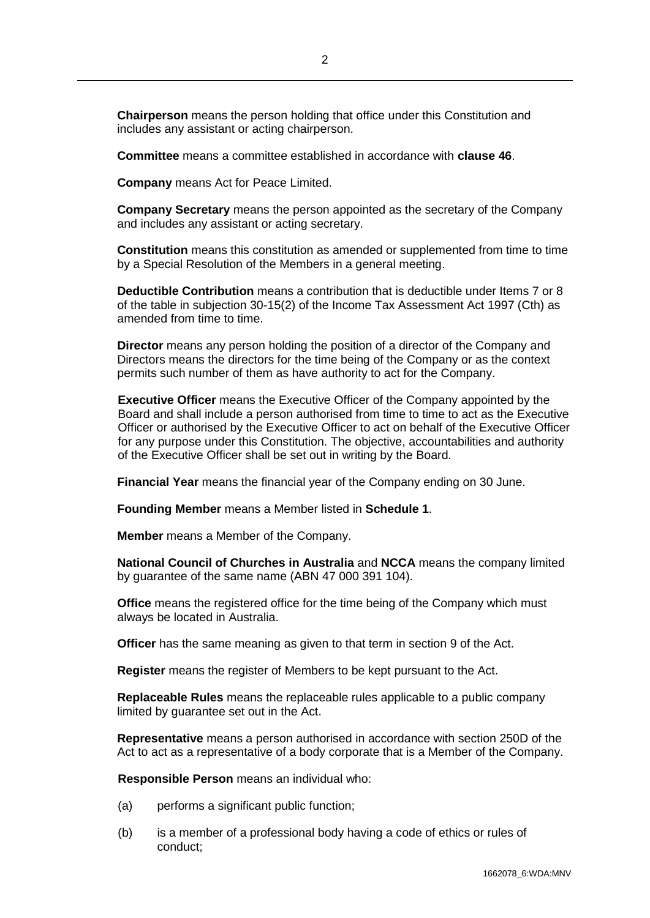**Chairperson** means the person holding that office under this Constitution and includes any assistant or acting chairperson.

**Committee** means a committee established in accordance with **clause [46](#page-21-0)**.

**Company** means Act for Peace Limited.

**Company Secretary** means the person appointed as the secretary of the Company and includes any assistant or acting secretary.

**Constitution** means this constitution as amended or supplemented from time to time by a Special Resolution of the Members in a general meeting.

**Deductible Contribution** means a contribution that is deductible under Items 7 or 8 of the table in subjection 30-15(2) of the Income Tax Assessment Act 1997 (Cth) as amended from time to time.

**Director** means any person holding the position of a director of the Company and Directors means the directors for the time being of the Company or as the context permits such number of them as have authority to act for the Company.

**Executive Officer** means the Executive Officer of the Company appointed by the Board and shall include a person authorised from time to time to act as the Executive Officer or authorised by the Executive Officer to act on behalf of the Executive Officer for any purpose under this Constitution. The objective, accountabilities and authority of the Executive Officer shall be set out in writing by the Board.

**Financial Year** means the financial year of the Company ending on 30 June.

**Founding Member** means a Member listed in **[Schedule 1](#page-28-1)**.

**Member** means a Member of the Company.

**National Council of Churches in Australia** and **NCCA** means the company limited by guarantee of the same name (ABN 47 000 391 104).

**Office** means the registered office for the time being of the Company which must always be located in Australia.

**Officer** has the same meaning as given to that term in section 9 of the Act.

**Register** means the register of Members to be kept pursuant to the Act.

**Replaceable Rules** means the replaceable rules applicable to a public company limited by guarantee set out in the Act.

**Representative** means a person authorised in accordance with section 250D of the Act to act as a representative of a body corporate that is a Member of the Company.

**Responsible Person** means an individual who:

- (a) performs a significant public function;
- (b) is a member of a professional body having a code of ethics or rules of conduct;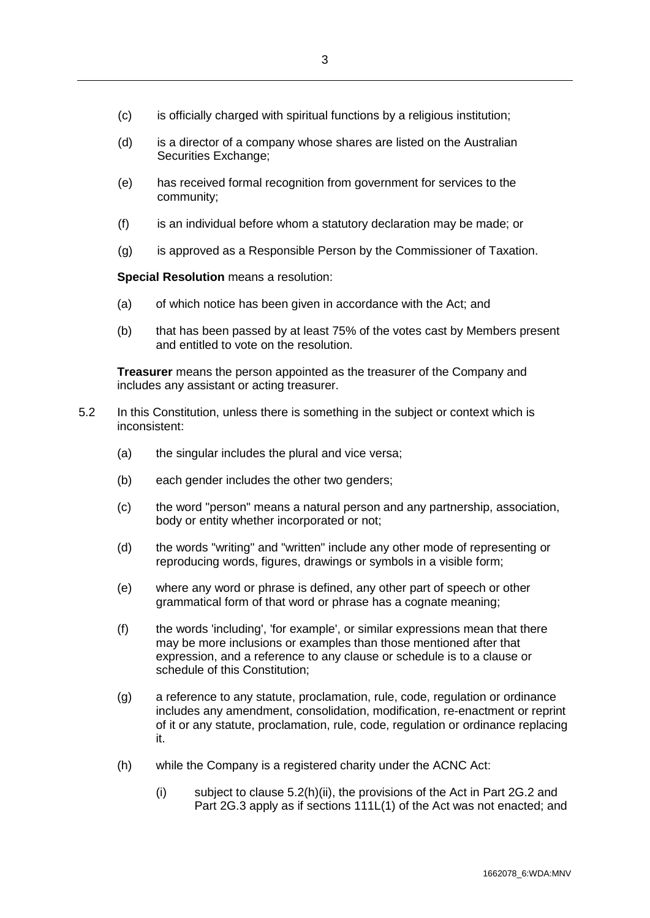- (c) is officially charged with spiritual functions by a religious institution;
- (d) is a director of a company whose shares are listed on the Australian Securities Exchange;
- (e) has received formal recognition from government for services to the community;
- (f) is an individual before whom a statutory declaration may be made; or
- (g) is approved as a Responsible Person by the Commissioner of Taxation.

**Special Resolution** means a resolution:

- (a) of which notice has been given in accordance with the Act; and
- (b) that has been passed by at least 75% of the votes cast by Members present and entitled to vote on the resolution.

**Treasurer** means the person appointed as the treasurer of the Company and includes any assistant or acting treasurer.

- 5.2 In this Constitution, unless there is something in the subject or context which is inconsistent:
	- (a) the singular includes the plural and vice versa;
	- (b) each gender includes the other two genders;
	- (c) the word "person" means a natural person and any partnership, association, body or entity whether incorporated or not;
	- (d) the words "writing" and "written" include any other mode of representing or reproducing words, figures, drawings or symbols in a visible form;
	- (e) where any word or phrase is defined, any other part of speech or other grammatical form of that word or phrase has a cognate meaning;
	- (f) the words 'including', 'for example', or similar expressions mean that there may be more inclusions or examples than those mentioned after that expression, and a reference to any clause or schedule is to a clause or schedule of this Constitution;
	- (g) a reference to any statute, proclamation, rule, code, regulation or ordinance includes any amendment, consolidation, modification, re-enactment or reprint of it or any statute, proclamation, rule, code, regulation or ordinance replacing it.
	- (h) while the Company is a registered charity under the ACNC Act:
		- (i) subject to clause 5.2(h)(ii), the provisions of the Act in Part 2G.2 and Part 2G.3 apply as if sections 111L(1) of the Act was not enacted; and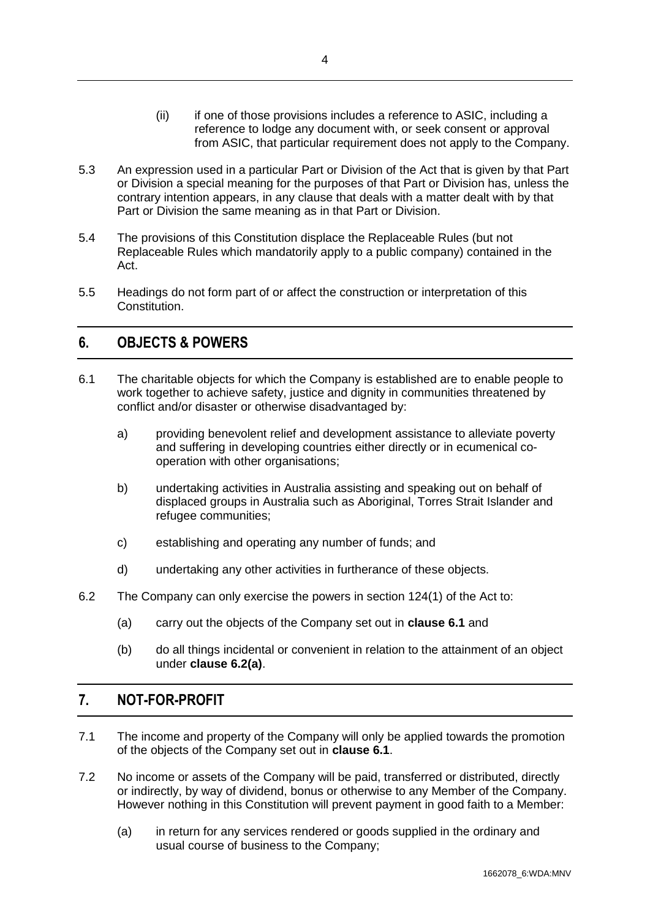- (ii) if one of those provisions includes a reference to ASIC, including a reference to lodge any document with, or seek consent or approval from ASIC, that particular requirement does not apply to the Company.
- 5.3 An expression used in a particular Part or Division of the Act that is given by that Part or Division a special meaning for the purposes of that Part or Division has, unless the contrary intention appears, in any clause that deals with a matter dealt with by that Part or Division the same meaning as in that Part or Division.
- 5.4 The provisions of this Constitution displace the Replaceable Rules (but not Replaceable Rules which mandatorily apply to a public company) contained in the Act.
- 5.5 Headings do not form part of or affect the construction or interpretation of this Constitution.

## <span id="page-6-0"></span>**6. OBJECTS & POWERS**

- <span id="page-6-2"></span>6.1 The charitable objects for which the Company is established are to enable people to work together to achieve safety, justice and dignity in communities threatened by conflict and/or disaster or otherwise disadvantaged by:
	- a) providing benevolent relief and development assistance to alleviate poverty and suffering in developing countries either directly or in ecumenical cooperation with other organisations;
	- b) undertaking activities in Australia assisting and speaking out on behalf of displaced groups in Australia such as Aboriginal, Torres Strait Islander and refugee communities;
	- c) establishing and operating any number of funds; and
	- d) undertaking any other activities in furtherance of these objects.
- <span id="page-6-3"></span>6.2 The Company can only exercise the powers in section 124(1) of the Act to:
	- (a) carry out the objects of the Company set out in **clause [6.1](#page-6-2)** and
	- (b) do all things incidental or convenient in relation to the attainment of an object under **clause [6.2\(a\)](#page-6-3)**.

## <span id="page-6-1"></span>**7. NOT-FOR-PROFIT**

- 7.1 The income and property of the Company will only be applied towards the promotion of the objects of the Company set out in **clause [6.1](#page-6-2)**.
- <span id="page-6-4"></span>7.2 No income or assets of the Company will be paid, transferred or distributed, directly or indirectly, by way of dividend, bonus or otherwise to any Member of the Company. However nothing in this Constitution will prevent payment in good faith to a Member:
	- (a) in return for any services rendered or goods supplied in the ordinary and usual course of business to the Company;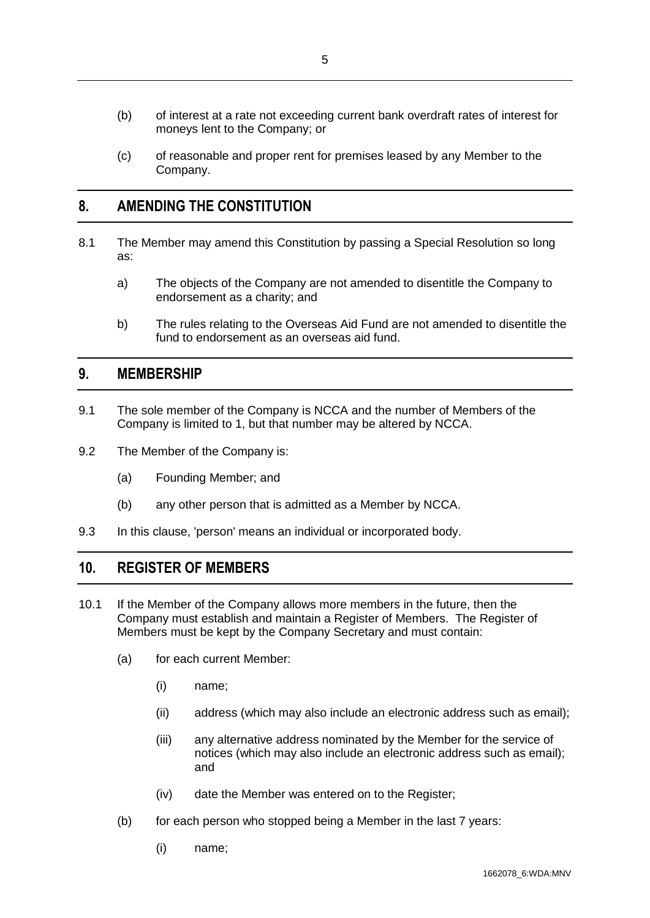- (b) of interest at a rate not exceeding current bank overdraft rates of interest for moneys lent to the Company; or
- (c) of reasonable and proper rent for premises leased by any Member to the Company.

## <span id="page-7-0"></span>**8. AMENDING THE CONSTITUTION**

- 8.1 The Member may amend this Constitution by passing a Special Resolution so long as:
	- a) The objects of the Company are not amended to disentitle the Company to endorsement as a charity; and
	- b) The rules relating to the Overseas Aid Fund are not amended to disentitle the fund to endorsement as an overseas aid fund.

#### <span id="page-7-1"></span>**9. MEMBERSHIP**

- 9.1 The sole member of the Company is NCCA and the number of Members of the Company is limited to 1, but that number may be altered by NCCA.
- 9.2 The Member of the Company is:
	- (a) Founding Member; and
	- (b) any other person that is admitted as a Member by NCCA.
- 9.3 In this clause, 'person' means an individual or incorporated body.

#### <span id="page-7-2"></span>**10. REGISTER OF MEMBERS**

- 10.1 If the Member of the Company allows more members in the future, then the Company must establish and maintain a Register of Members. The Register of Members must be kept by the Company Secretary and must contain:
	- (a) for each current Member:
		- (i) name;
		- (ii) address (which may also include an electronic address such as email);
		- (iii) any alternative address nominated by the Member for the service of notices (which may also include an electronic address such as email); and
		- (iv) date the Member was entered on to the Register;
	- (b) for each person who stopped being a Member in the last 7 years:
		- (i) name;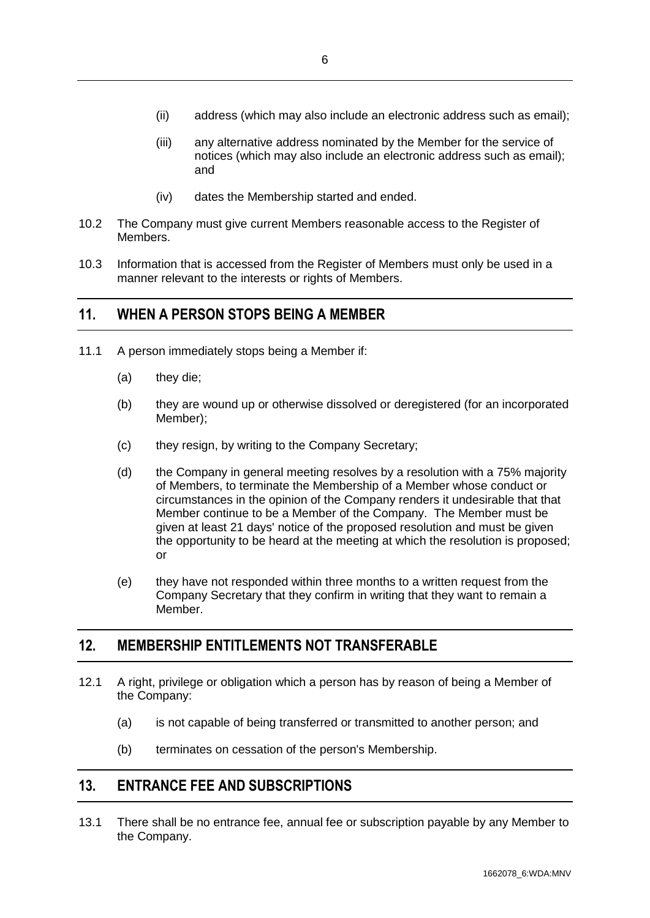- (ii) address (which may also include an electronic address such as email);
- (iii) any alternative address nominated by the Member for the service of notices (which may also include an electronic address such as email); and
- (iv) dates the Membership started and ended.
- 10.2 The Company must give current Members reasonable access to the Register of Members.
- 10.3 Information that is accessed from the Register of Members must only be used in a manner relevant to the interests or rights of Members.

#### <span id="page-8-0"></span>**11. WHEN A PERSON STOPS BEING A MEMBER**

- 11.1 A person immediately stops being a Member if:
	- (a) they die;
	- (b) they are wound up or otherwise dissolved or deregistered (for an incorporated Member);
	- (c) they resign, by writing to the Company Secretary;
	- (d) the Company in general meeting resolves by a resolution with a 75% majority of Members, to terminate the Membership of a Member whose conduct or circumstances in the opinion of the Company renders it undesirable that that Member continue to be a Member of the Company. The Member must be given at least 21 days' notice of the proposed resolution and must be given the opportunity to be heard at the meeting at which the resolution is proposed; or
	- (e) they have not responded within three months to a written request from the Company Secretary that they confirm in writing that they want to remain a Member.

## <span id="page-8-1"></span>**12. MEMBERSHIP ENTITLEMENTS NOT TRANSFERABLE**

- 12.1 A right, privilege or obligation which a person has by reason of being a Member of the Company:
	- (a) is not capable of being transferred or transmitted to another person; and
	- (b) terminates on cessation of the person's Membership.

## <span id="page-8-2"></span>**13. ENTRANCE FEE AND SUBSCRIPTIONS**

13.1 There shall be no entrance fee, annual fee or subscription payable by any Member to the Company.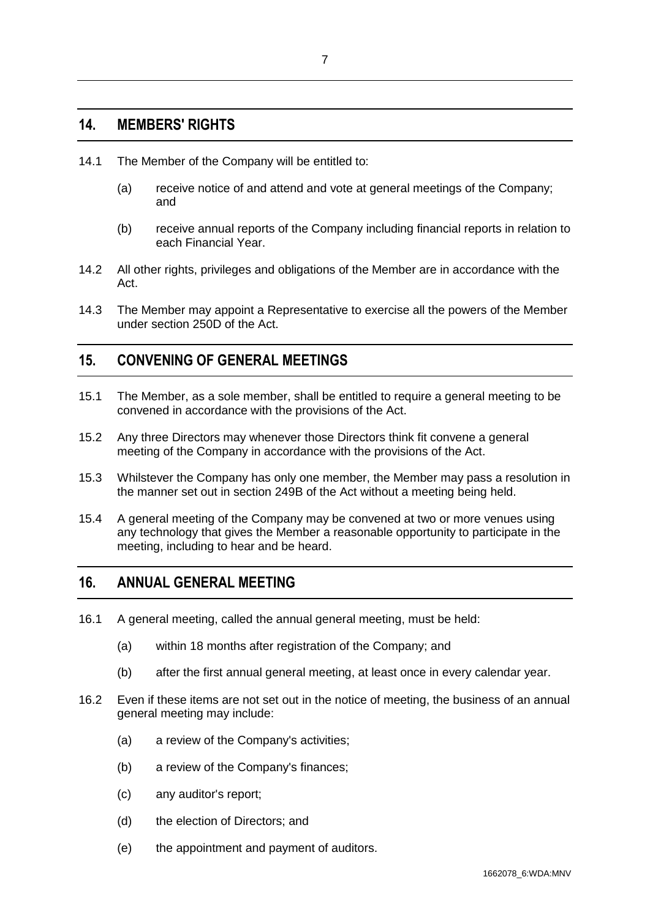#### <span id="page-9-0"></span>**14. MEMBERS' RIGHTS**

- 14.1 The Member of the Company will be entitled to:
	- (a) receive notice of and attend and vote at general meetings of the Company; and
	- (b) receive annual reports of the Company including financial reports in relation to each Financial Year.
- 14.2 All other rights, privileges and obligations of the Member are in accordance with the Act.
- 14.3 The Member may appoint a Representative to exercise all the powers of the Member under section 250D of the Act.

## <span id="page-9-1"></span>**15. CONVENING OF GENERAL MEETINGS**

- 15.1 The Member, as a sole member, shall be entitled to require a general meeting to be convened in accordance with the provisions of the Act.
- 15.2 Any three Directors may whenever those Directors think fit convene a general meeting of the Company in accordance with the provisions of the Act.
- 15.3 Whilstever the Company has only one member, the Member may pass a resolution in the manner set out in section 249B of the Act without a meeting being held.
- 15.4 A general meeting of the Company may be convened at two or more venues using any technology that gives the Member a reasonable opportunity to participate in the meeting, including to hear and be heard.

## <span id="page-9-2"></span>**16. ANNUAL GENERAL MEETING**

- 16.1 A general meeting, called the annual general meeting, must be held:
	- (a) within 18 months after registration of the Company; and
	- (b) after the first annual general meeting, at least once in every calendar year.
- 16.2 Even if these items are not set out in the notice of meeting, the business of an annual general meeting may include:
	- (a) a review of the Company's activities;
	- (b) a review of the Company's finances;
	- (c) any auditor's report;
	- (d) the election of Directors; and
	- (e) the appointment and payment of auditors.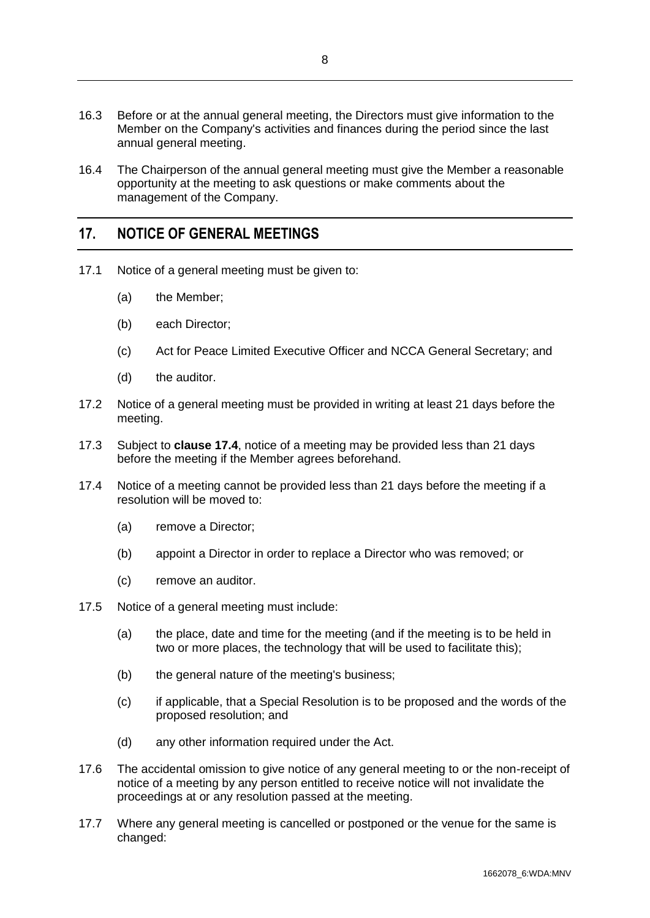- 16.3 Before or at the annual general meeting, the Directors must give information to the Member on the Company's activities and finances during the period since the last annual general meeting.
- 16.4 The Chairperson of the annual general meeting must give the Member a reasonable opportunity at the meeting to ask questions or make comments about the management of the Company.

## <span id="page-10-0"></span>**17. NOTICE OF GENERAL MEETINGS**

- 17.1 Notice of a general meeting must be given to:
	- (a) the Member;
	- (b) each Director;
	- (c) Act for Peace Limited Executive Officer and NCCA General Secretary; and
	- (d) the auditor.
- 17.2 Notice of a general meeting must be provided in writing at least 21 days before the meeting.
- 17.3 Subject to **clause [17.4](#page-10-1)**, notice of a meeting may be provided less than 21 days before the meeting if the Member agrees beforehand.
- <span id="page-10-1"></span>17.4 Notice of a meeting cannot be provided less than 21 days before the meeting if a resolution will be moved to:
	- (a) remove a Director;
	- (b) appoint a Director in order to replace a Director who was removed; or
	- (c) remove an auditor.
- 17.5 Notice of a general meeting must include:
	- (a) the place, date and time for the meeting (and if the meeting is to be held in two or more places, the technology that will be used to facilitate this);
	- (b) the general nature of the meeting's business;
	- (c) if applicable, that a Special Resolution is to be proposed and the words of the proposed resolution; and
	- (d) any other information required under the Act.
- 17.6 The accidental omission to give notice of any general meeting to or the non-receipt of notice of a meeting by any person entitled to receive notice will not invalidate the proceedings at or any resolution passed at the meeting.
- 17.7 Where any general meeting is cancelled or postponed or the venue for the same is changed: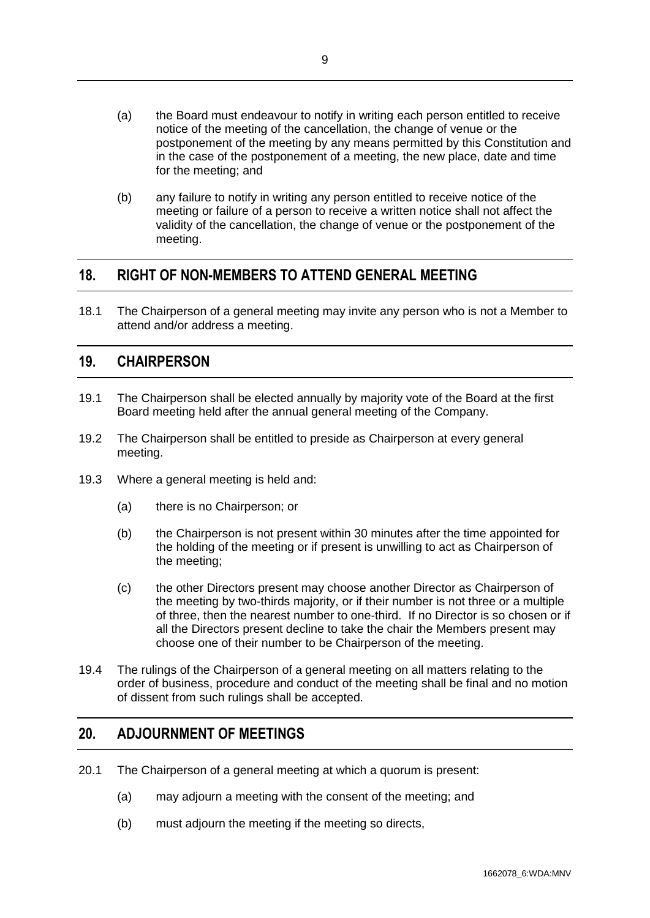- (a) the Board must endeavour to notify in writing each person entitled to receive notice of the meeting of the cancellation, the change of venue or the postponement of the meeting by any means permitted by this Constitution and in the case of the postponement of a meeting, the new place, date and time for the meeting; and
- (b) any failure to notify in writing any person entitled to receive notice of the meeting or failure of a person to receive a written notice shall not affect the validity of the cancellation, the change of venue or the postponement of the meeting.

## <span id="page-11-0"></span>**18. RIGHT OF NON-MEMBERS TO ATTEND GENERAL MEETING**

18.1 The Chairperson of a general meeting may invite any person who is not a Member to attend and/or address a meeting.

## <span id="page-11-1"></span>**19. CHAIRPERSON**

- 19.1 The Chairperson shall be elected annually by majority vote of the Board at the first Board meeting held after the annual general meeting of the Company.
- 19.2 The Chairperson shall be entitled to preside as Chairperson at every general meeting.
- 19.3 Where a general meeting is held and:
	- (a) there is no Chairperson; or
	- (b) the Chairperson is not present within 30 minutes after the time appointed for the holding of the meeting or if present is unwilling to act as Chairperson of the meeting;
	- (c) the other Directors present may choose another Director as Chairperson of the meeting by two-thirds majority, or if their number is not three or a multiple of three, then the nearest number to one-third. If no Director is so chosen or if all the Directors present decline to take the chair the Members present may choose one of their number to be Chairperson of the meeting.
- 19.4 The rulings of the Chairperson of a general meeting on all matters relating to the order of business, procedure and conduct of the meeting shall be final and no motion of dissent from such rulings shall be accepted.

## <span id="page-11-2"></span>**20. ADJOURNMENT OF MEETINGS**

- 20.1 The Chairperson of a general meeting at which a quorum is present:
	- (a) may adjourn a meeting with the consent of the meeting; and
	- (b) must adjourn the meeting if the meeting so directs,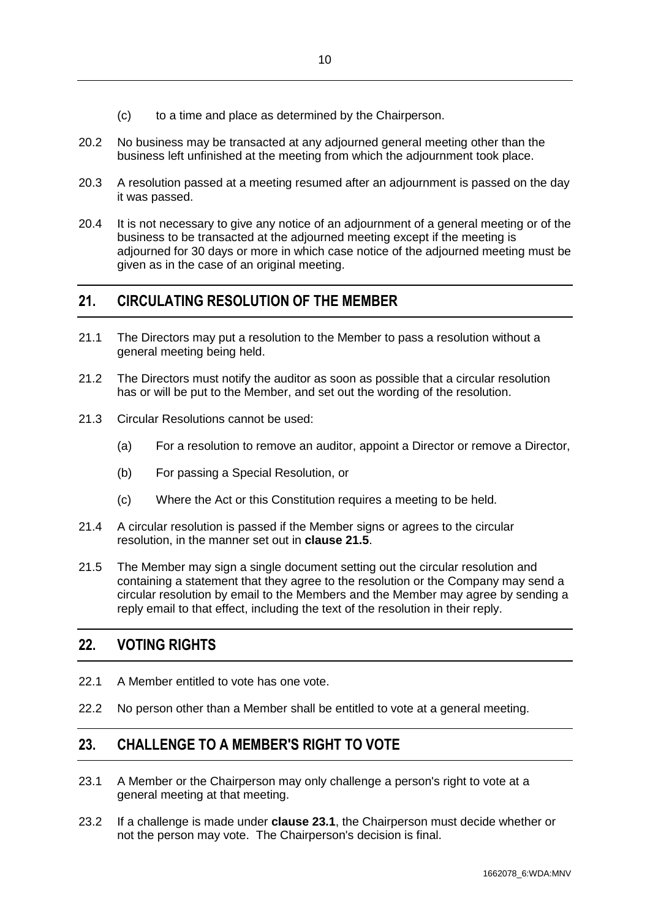- (c) to a time and place as determined by the Chairperson.
- 20.2 No business may be transacted at any adjourned general meeting other than the business left unfinished at the meeting from which the adjournment took place.
- 20.3 A resolution passed at a meeting resumed after an adjournment is passed on the day it was passed.
- 20.4 It is not necessary to give any notice of an adjournment of a general meeting or of the business to be transacted at the adjourned meeting except if the meeting is adjourned for 30 days or more in which case notice of the adjourned meeting must be given as in the case of an original meeting.

## <span id="page-12-0"></span>**21. CIRCULATING RESOLUTION OF THE MEMBER**

- 21.1 The Directors may put a resolution to the Member to pass a resolution without a general meeting being held.
- 21.2 The Directors must notify the auditor as soon as possible that a circular resolution has or will be put to the Member, and set out the wording of the resolution.
- 21.3 Circular Resolutions cannot be used:
	- (a) For a resolution to remove an auditor, appoint a Director or remove a Director,
	- (b) For passing a Special Resolution, or
	- (c) Where the Act or this Constitution requires a meeting to be held.
- 21.4 A circular resolution is passed if the Member signs or agrees to the circular resolution, in the manner set out in **clause [21.5](#page-12-3)**.
- <span id="page-12-3"></span>21.5 The Member may sign a single document setting out the circular resolution and containing a statement that they agree to the resolution or the Company may send a circular resolution by email to the Members and the Member may agree by sending a reply email to that effect, including the text of the resolution in their reply.

## <span id="page-12-1"></span>**22. VOTING RIGHTS**

- 22.1 A Member entitled to vote has one vote.
- 22.2 No person other than a Member shall be entitled to vote at a general meeting.

## <span id="page-12-2"></span>**23. CHALLENGE TO A MEMBER'S RIGHT TO VOTE**

- <span id="page-12-4"></span>23.1 A Member or the Chairperson may only challenge a person's right to vote at a general meeting at that meeting.
- 23.2 If a challenge is made under **clause [23.1](#page-12-4)**, the Chairperson must decide whether or not the person may vote. The Chairperson's decision is final.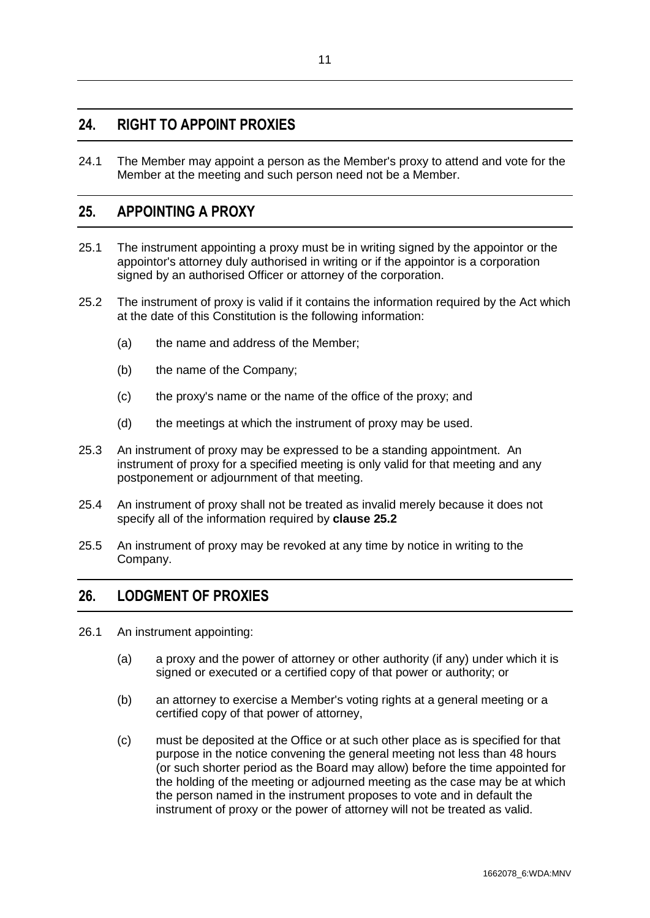## <span id="page-13-0"></span>**24. RIGHT TO APPOINT PROXIES**

24.1 The Member may appoint a person as the Member's proxy to attend and vote for the Member at the meeting and such person need not be a Member.

## <span id="page-13-1"></span>**25. APPOINTING A PROXY**

- 25.1 The instrument appointing a proxy must be in writing signed by the appointor or the appointor's attorney duly authorised in writing or if the appointor is a corporation signed by an authorised Officer or attorney of the corporation.
- <span id="page-13-3"></span>25.2 The instrument of proxy is valid if it contains the information required by the Act which at the date of this Constitution is the following information:
	- (a) the name and address of the Member;
	- (b) the name of the Company;
	- (c) the proxy's name or the name of the office of the proxy; and
	- (d) the meetings at which the instrument of proxy may be used.
- 25.3 An instrument of proxy may be expressed to be a standing appointment. An instrument of proxy for a specified meeting is only valid for that meeting and any postponement or adjournment of that meeting.
- 25.4 An instrument of proxy shall not be treated as invalid merely because it does not specify all of the information required by **clause [25.2](#page-13-3)**
- 25.5 An instrument of proxy may be revoked at any time by notice in writing to the Company.

## <span id="page-13-2"></span>**26. LODGMENT OF PROXIES**

- 26.1 An instrument appointing:
	- (a) a proxy and the power of attorney or other authority (if any) under which it is signed or executed or a certified copy of that power or authority; or
	- (b) an attorney to exercise a Member's voting rights at a general meeting or a certified copy of that power of attorney,
	- (c) must be deposited at the Office or at such other place as is specified for that purpose in the notice convening the general meeting not less than 48 hours (or such shorter period as the Board may allow) before the time appointed for the holding of the meeting or adjourned meeting as the case may be at which the person named in the instrument proposes to vote and in default the instrument of proxy or the power of attorney will not be treated as valid.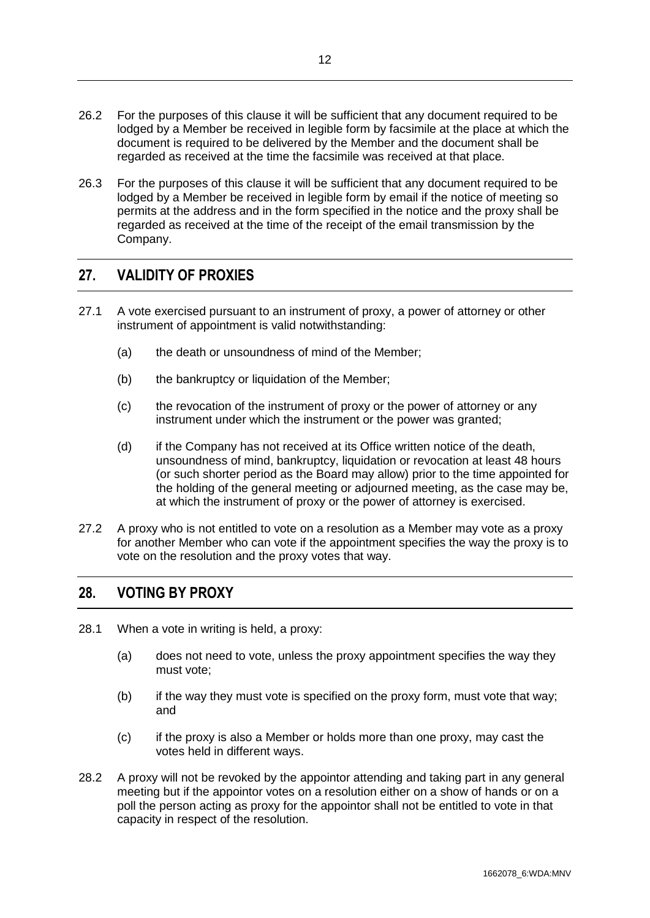- 26.2 For the purposes of this clause it will be sufficient that any document required to be lodged by a Member be received in legible form by facsimile at the place at which the document is required to be delivered by the Member and the document shall be regarded as received at the time the facsimile was received at that place.
- 26.3 For the purposes of this clause it will be sufficient that any document required to be lodged by a Member be received in legible form by email if the notice of meeting so permits at the address and in the form specified in the notice and the proxy shall be regarded as received at the time of the receipt of the email transmission by the Company.

## <span id="page-14-0"></span>**27. VALIDITY OF PROXIES**

- 27.1 A vote exercised pursuant to an instrument of proxy, a power of attorney or other instrument of appointment is valid notwithstanding:
	- (a) the death or unsoundness of mind of the Member;
	- (b) the bankruptcy or liquidation of the Member;
	- (c) the revocation of the instrument of proxy or the power of attorney or any instrument under which the instrument or the power was granted;
	- (d) if the Company has not received at its Office written notice of the death, unsoundness of mind, bankruptcy, liquidation or revocation at least 48 hours (or such shorter period as the Board may allow) prior to the time appointed for the holding of the general meeting or adjourned meeting, as the case may be, at which the instrument of proxy or the power of attorney is exercised.
- 27.2 A proxy who is not entitled to vote on a resolution as a Member may vote as a proxy for another Member who can vote if the appointment specifies the way the proxy is to vote on the resolution and the proxy votes that way.

## <span id="page-14-1"></span>**28. VOTING BY PROXY**

- 28.1 When a vote in writing is held, a proxy:
	- (a) does not need to vote, unless the proxy appointment specifies the way they must vote;
	- (b) if the way they must vote is specified on the proxy form, must vote that way; and
	- (c) if the proxy is also a Member or holds more than one proxy, may cast the votes held in different ways.
- 28.2 A proxy will not be revoked by the appointor attending and taking part in any general meeting but if the appointor votes on a resolution either on a show of hands or on a poll the person acting as proxy for the appointor shall not be entitled to vote in that capacity in respect of the resolution.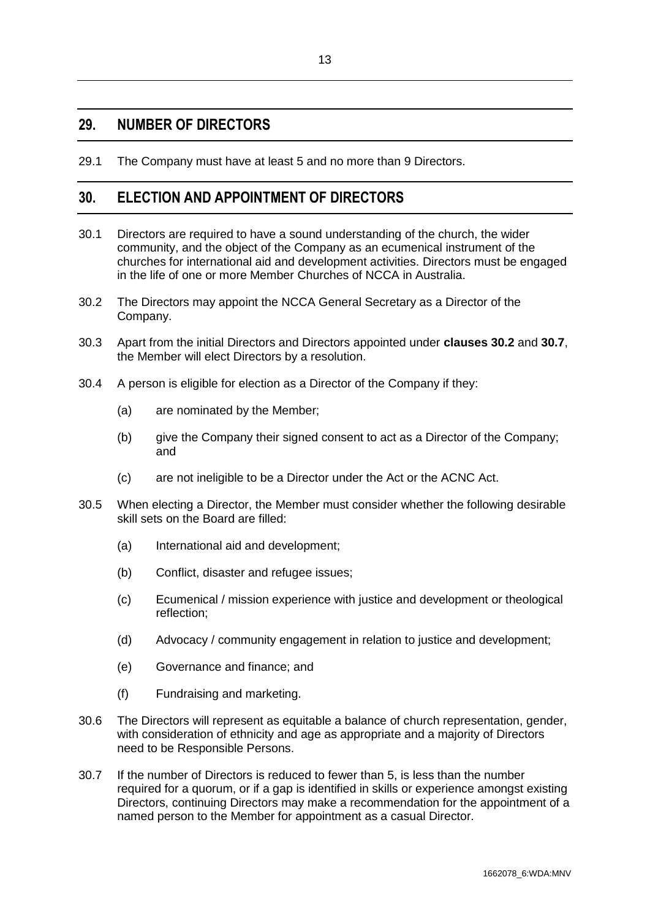#### <span id="page-15-0"></span>**29. NUMBER OF DIRECTORS**

29.1 The Company must have at least 5 and no more than 9 Directors.

## <span id="page-15-1"></span>**30. ELECTION AND APPOINTMENT OF DIRECTORS**

- 30.1 Directors are required to have a sound understanding of the church, the wider community, and the object of the Company as an ecumenical instrument of the churches for international aid and development activities. Directors must be engaged in the life of one or more Member Churches of NCCA in Australia.
- <span id="page-15-2"></span>30.2 The Directors may appoint the NCCA General Secretary as a Director of the Company.
- 30.3 Apart from the initial Directors and Directors appointed under **clauses [30.2](#page-15-2)** and **[30.7](#page-15-3)**, the Member will elect Directors by a resolution.
- 30.4 A person is eligible for election as a Director of the Company if they:
	- (a) are nominated by the Member;
	- (b) give the Company their signed consent to act as a Director of the Company; and
	- (c) are not ineligible to be a Director under the Act or the ACNC Act.
- 30.5 When electing a Director, the Member must consider whether the following desirable skill sets on the Board are filled:
	- (a) International aid and development;
	- (b) Conflict, disaster and refugee issues;
	- (c) Ecumenical / mission experience with justice and development or theological reflection;
	- (d) Advocacy / community engagement in relation to justice and development;
	- (e) Governance and finance; and
	- (f) Fundraising and marketing.
- 30.6 The Directors will represent as equitable a balance of church representation, gender, with consideration of ethnicity and age as appropriate and a majority of Directors need to be Responsible Persons.
- <span id="page-15-3"></span>30.7 If the number of Directors is reduced to fewer than 5, is less than the number required for a quorum, or if a gap is identified in skills or experience amongst existing Directors, continuing Directors may make a recommendation for the appointment of a named person to the Member for appointment as a casual Director.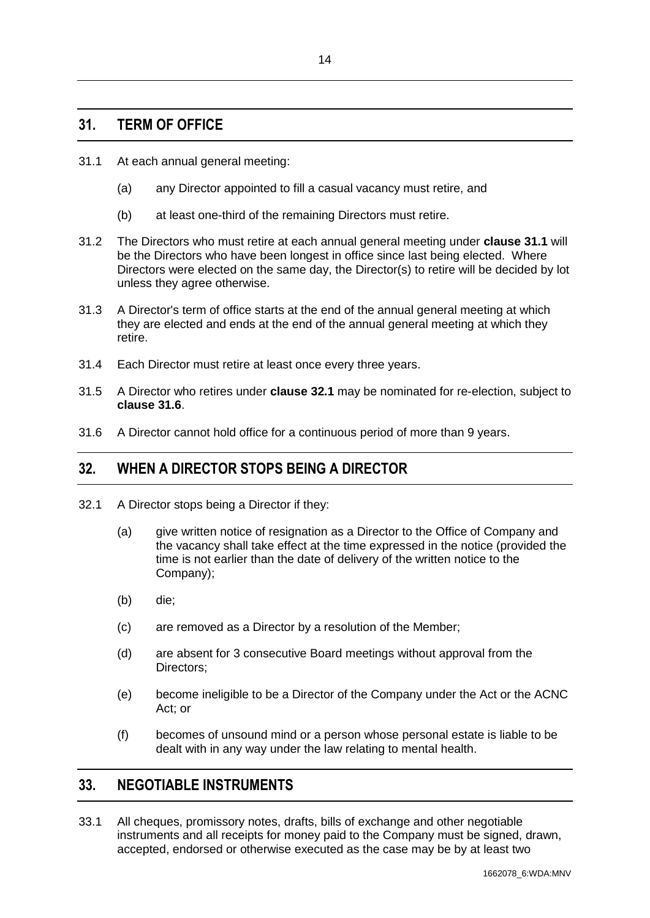- <span id="page-16-0"></span>31.1 At each annual general meeting:
	- (a) any Director appointed to fill a casual vacancy must retire, and
	- (b) at least one-third of the remaining Directors must retire.
- 31.2 The Directors who must retire at each annual general meeting under **clause 31.1** will be the Directors who have been longest in office since last being elected. Where Directors were elected on the same day, the Director(s) to retire will be decided by lot unless they agree otherwise.
- 31.3 A Director's term of office starts at the end of the annual general meeting at which they are elected and ends at the end of the annual general meeting at which they retire.
- 31.4 Each Director must retire at least once every three years.
- 31.5 A Director who retires under **clause [32.1](#page-16-3)** may be nominated for re-election, subject to **clause [31.6](#page-16-4)**.
- <span id="page-16-4"></span>31.6 A Director cannot hold office for a continuous period of more than 9 years.

## <span id="page-16-1"></span>**32. WHEN A DIRECTOR STOPS BEING A DIRECTOR**

- <span id="page-16-3"></span>32.1 A Director stops being a Director if they:
	- (a) give written notice of resignation as a Director to the Office of Company and the vacancy shall take effect at the time expressed in the notice (provided the time is not earlier than the date of delivery of the written notice to the Company);
	- (b) die;
	- (c) are removed as a Director by a resolution of the Member;
	- (d) are absent for 3 consecutive Board meetings without approval from the Directors;
	- (e) become ineligible to be a Director of the Company under the Act or the ACNC Act; or
	- (f) becomes of unsound mind or a person whose personal estate is liable to be dealt with in any way under the law relating to mental health.

## <span id="page-16-2"></span>**33. NEGOTIABLE INSTRUMENTS**

33.1 All cheques, promissory notes, drafts, bills of exchange and other negotiable instruments and all receipts for money paid to the Company must be signed, drawn, accepted, endorsed or otherwise executed as the case may be by at least two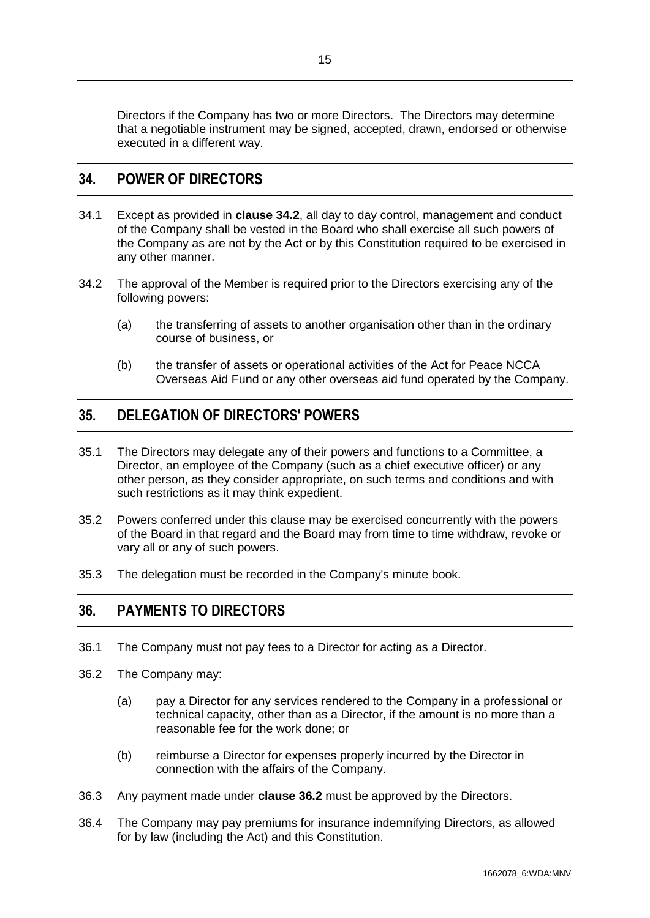Directors if the Company has two or more Directors. The Directors may determine that a negotiable instrument may be signed, accepted, drawn, endorsed or otherwise executed in a different way.

#### <span id="page-17-0"></span>**34. POWER OF DIRECTORS**

- 34.1 Except as provided in **clause [34.2](#page-17-3)**, all day to day control, management and conduct of the Company shall be vested in the Board who shall exercise all such powers of the Company as are not by the Act or by this Constitution required to be exercised in any other manner.
- <span id="page-17-3"></span>34.2 The approval of the Member is required prior to the Directors exercising any of the following powers:
	- (a) the transferring of assets to another organisation other than in the ordinary course of business, or
	- (b) the transfer of assets or operational activities of the Act for Peace NCCA Overseas Aid Fund or any other overseas aid fund operated by the Company.

## <span id="page-17-1"></span>**35. DELEGATION OF DIRECTORS' POWERS**

- 35.1 The Directors may delegate any of their powers and functions to a Committee, a Director, an employee of the Company (such as a chief executive officer) or any other person, as they consider appropriate, on such terms and conditions and with such restrictions as it may think expedient.
- 35.2 Powers conferred under this clause may be exercised concurrently with the powers of the Board in that regard and the Board may from time to time withdraw, revoke or vary all or any of such powers.
- 35.3 The delegation must be recorded in the Company's minute book.

## <span id="page-17-2"></span>**36. PAYMENTS TO DIRECTORS**

- 36.1 The Company must not pay fees to a Director for acting as a Director.
- <span id="page-17-4"></span>36.2 The Company may:
	- (a) pay a Director for any services rendered to the Company in a professional or technical capacity, other than as a Director, if the amount is no more than a reasonable fee for the work done; or
	- (b) reimburse a Director for expenses properly incurred by the Director in connection with the affairs of the Company.
- 36.3 Any payment made under **clause [36.2](#page-17-4)** must be approved by the Directors.
- 36.4 The Company may pay premiums for insurance indemnifying Directors, as allowed for by law (including the Act) and this Constitution.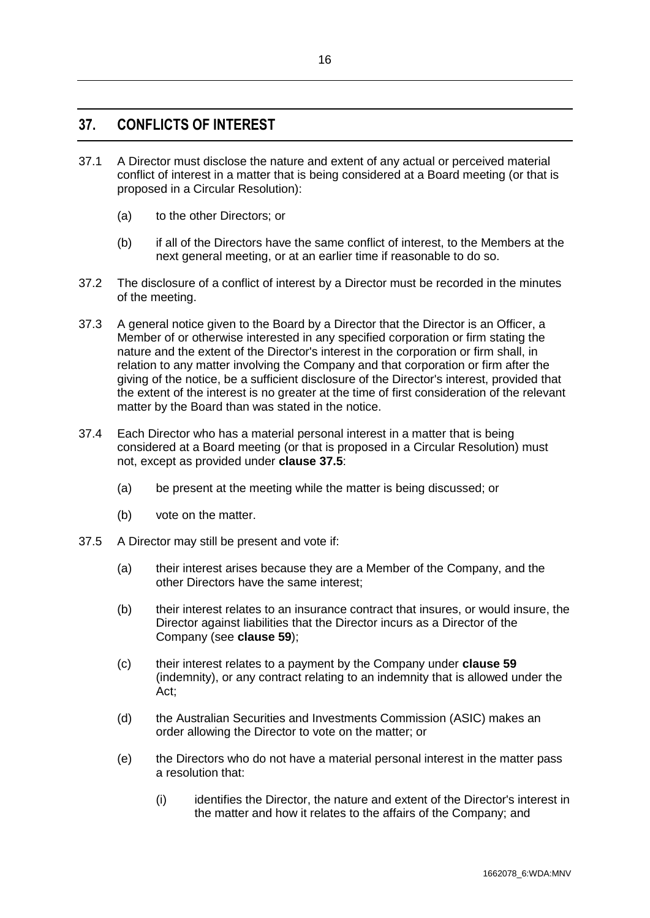## <span id="page-18-0"></span>**37. CONFLICTS OF INTEREST**

- 37.1 A Director must disclose the nature and extent of any actual or perceived material conflict of interest in a matter that is being considered at a Board meeting (or that is proposed in a Circular Resolution):
	- (a) to the other Directors; or
	- (b) if all of the Directors have the same conflict of interest, to the Members at the next general meeting, or at an earlier time if reasonable to do so.
- 37.2 The disclosure of a conflict of interest by a Director must be recorded in the minutes of the meeting.
- 37.3 A general notice given to the Board by a Director that the Director is an Officer, a Member of or otherwise interested in any specified corporation or firm stating the nature and the extent of the Director's interest in the corporation or firm shall, in relation to any matter involving the Company and that corporation or firm after the giving of the notice, be a sufficient disclosure of the Director's interest, provided that the extent of the interest is no greater at the time of first consideration of the relevant matter by the Board than was stated in the notice.
- <span id="page-18-2"></span>37.4 Each Director who has a material personal interest in a matter that is being considered at a Board meeting (or that is proposed in a Circular Resolution) must not, except as provided under **clause [37.5](#page-18-1)**:
	- (a) be present at the meeting while the matter is being discussed; or
	- (b) vote on the matter.
- <span id="page-18-1"></span>37.5 A Director may still be present and vote if:
	- (a) their interest arises because they are a Member of the Company, and the other Directors have the same interest;
	- (b) their interest relates to an insurance contract that insures, or would insure, the Director against liabilities that the Director incurs as a Director of the Company (see **clause [59](#page-26-0)**);
	- (c) their interest relates to a payment by the Company under **clause [59](#page-26-0)** (indemnity), or any contract relating to an indemnity that is allowed under the Act;
	- (d) the Australian Securities and Investments Commission (ASIC) makes an order allowing the Director to vote on the matter; or
	- (e) the Directors who do not have a material personal interest in the matter pass a resolution that:
		- (i) identifies the Director, the nature and extent of the Director's interest in the matter and how it relates to the affairs of the Company; and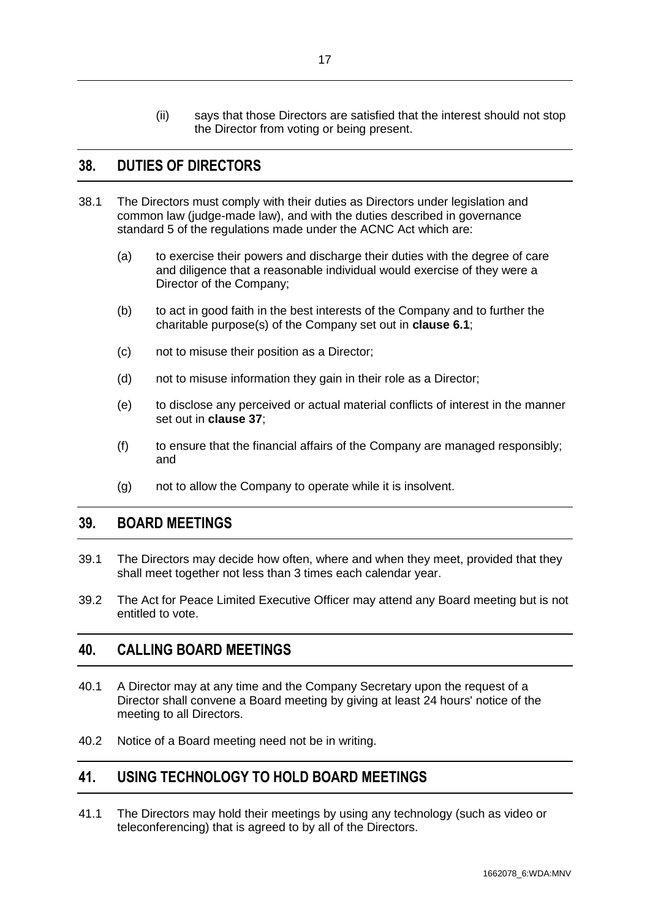(ii) says that those Directors are satisfied that the interest should not stop the Director from voting or being present.

#### <span id="page-19-0"></span>**38. DUTIES OF DIRECTORS**

- 38.1 The Directors must comply with their duties as Directors under legislation and common law (judge-made law), and with the duties described in governance standard 5 of the regulations made under the ACNC Act which are:
	- (a) to exercise their powers and discharge their duties with the degree of care and diligence that a reasonable individual would exercise of they were a Director of the Company;
	- (b) to act in good faith in the best interests of the Company and to further the charitable purpose(s) of the Company set out in **clause [6.1](#page-6-2)**;
	- (c) not to misuse their position as a Director;
	- (d) not to misuse information they gain in their role as a Director;
	- (e) to disclose any perceived or actual material conflicts of interest in the manner set out in **clause [37](#page-18-0)**;
	- (f) to ensure that the financial affairs of the Company are managed responsibly; and
	- (g) not to allow the Company to operate while it is insolvent.

## <span id="page-19-1"></span>**39. BOARD MEETINGS**

- 39.1 The Directors may decide how often, where and when they meet, provided that they shall meet together not less than 3 times each calendar year.
- 39.2 The Act for Peace Limited Executive Officer may attend any Board meeting but is not entitled to vote.

#### <span id="page-19-2"></span>**40. CALLING BOARD MEETINGS**

- 40.1 A Director may at any time and the Company Secretary upon the request of a Director shall convene a Board meeting by giving at least 24 hours' notice of the meeting to all Directors.
- 40.2 Notice of a Board meeting need not be in writing.

#### <span id="page-19-3"></span>**41. USING TECHNOLOGY TO HOLD BOARD MEETINGS**

41.1 The Directors may hold their meetings by using any technology (such as video or teleconferencing) that is agreed to by all of the Directors.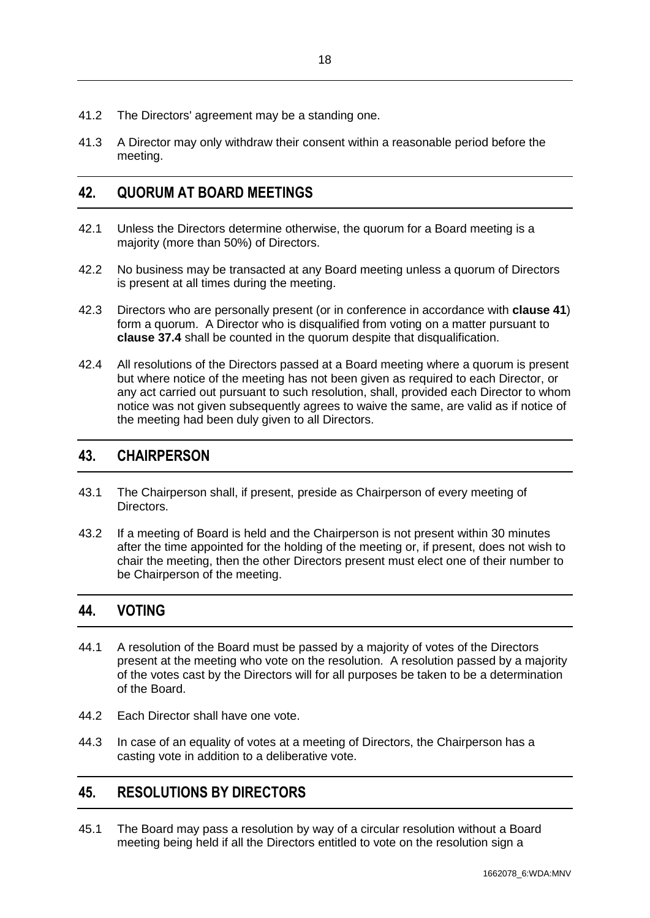- 41.2 The Directors' agreement may be a standing one.
- 41.3 A Director may only withdraw their consent within a reasonable period before the meeting.

## <span id="page-20-0"></span>**42. QUORUM AT BOARD MEETINGS**

- 42.1 Unless the Directors determine otherwise, the quorum for a Board meeting is a majority (more than 50%) of Directors.
- 42.2 No business may be transacted at any Board meeting unless a quorum of Directors is present at all times during the meeting.
- 42.3 Directors who are personally present (or in conference in accordance with **clause 41**) form a quorum. A Director who is disqualified from voting on a matter pursuant to **clause [37.4](#page-18-2)** shall be counted in the quorum despite that disqualification.
- 42.4 All resolutions of the Directors passed at a Board meeting where a quorum is present but where notice of the meeting has not been given as required to each Director, or any act carried out pursuant to such resolution, shall, provided each Director to whom notice was not given subsequently agrees to waive the same, are valid as if notice of the meeting had been duly given to all Directors.

#### <span id="page-20-1"></span>**43. CHAIRPERSON**

- 43.1 The Chairperson shall, if present, preside as Chairperson of every meeting of Directors.
- 43.2 If a meeting of Board is held and the Chairperson is not present within 30 minutes after the time appointed for the holding of the meeting or, if present, does not wish to chair the meeting, then the other Directors present must elect one of their number to be Chairperson of the meeting.

## <span id="page-20-2"></span>**44. VOTING**

- 44.1 A resolution of the Board must be passed by a majority of votes of the Directors present at the meeting who vote on the resolution. A resolution passed by a majority of the votes cast by the Directors will for all purposes be taken to be a determination of the Board.
- 44.2 Each Director shall have one vote.
- 44.3 In case of an equality of votes at a meeting of Directors, the Chairperson has a casting vote in addition to a deliberative vote.

## <span id="page-20-3"></span>**45. RESOLUTIONS BY DIRECTORS**

45.1 The Board may pass a resolution by way of a circular resolution without a Board meeting being held if all the Directors entitled to vote on the resolution sign a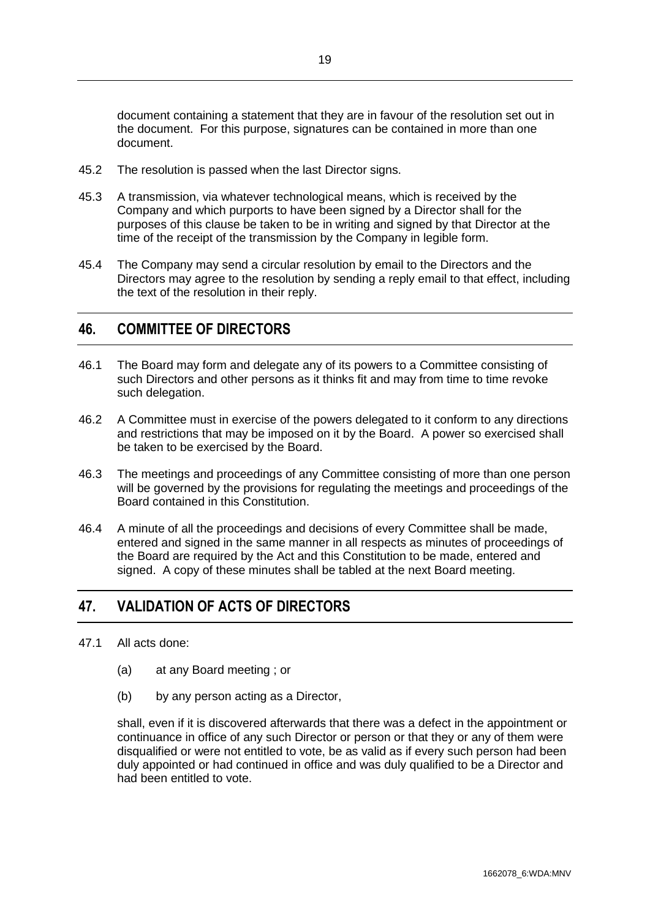document containing a statement that they are in favour of the resolution set out in the document. For this purpose, signatures can be contained in more than one document.

- 45.2 The resolution is passed when the last Director signs.
- 45.3 A transmission, via whatever technological means, which is received by the Company and which purports to have been signed by a Director shall for the purposes of this clause be taken to be in writing and signed by that Director at the time of the receipt of the transmission by the Company in legible form.
- 45.4 The Company may send a circular resolution by email to the Directors and the Directors may agree to the resolution by sending a reply email to that effect, including the text of the resolution in their reply.

#### <span id="page-21-0"></span>**46. COMMITTEE OF DIRECTORS**

- 46.1 The Board may form and delegate any of its powers to a Committee consisting of such Directors and other persons as it thinks fit and may from time to time revoke such delegation.
- 46.2 A Committee must in exercise of the powers delegated to it conform to any directions and restrictions that may be imposed on it by the Board. A power so exercised shall be taken to be exercised by the Board.
- 46.3 The meetings and proceedings of any Committee consisting of more than one person will be governed by the provisions for regulating the meetings and proceedings of the Board contained in this Constitution.
- 46.4 A minute of all the proceedings and decisions of every Committee shall be made, entered and signed in the same manner in all respects as minutes of proceedings of the Board are required by the Act and this Constitution to be made, entered and signed. A copy of these minutes shall be tabled at the next Board meeting.

## <span id="page-21-1"></span>**47. VALIDATION OF ACTS OF DIRECTORS**

- 47.1 All acts done:
	- (a) at any Board meeting ; or
	- (b) by any person acting as a Director,

shall, even if it is discovered afterwards that there was a defect in the appointment or continuance in office of any such Director or person or that they or any of them were disqualified or were not entitled to vote, be as valid as if every such person had been duly appointed or had continued in office and was duly qualified to be a Director and had been entitled to vote.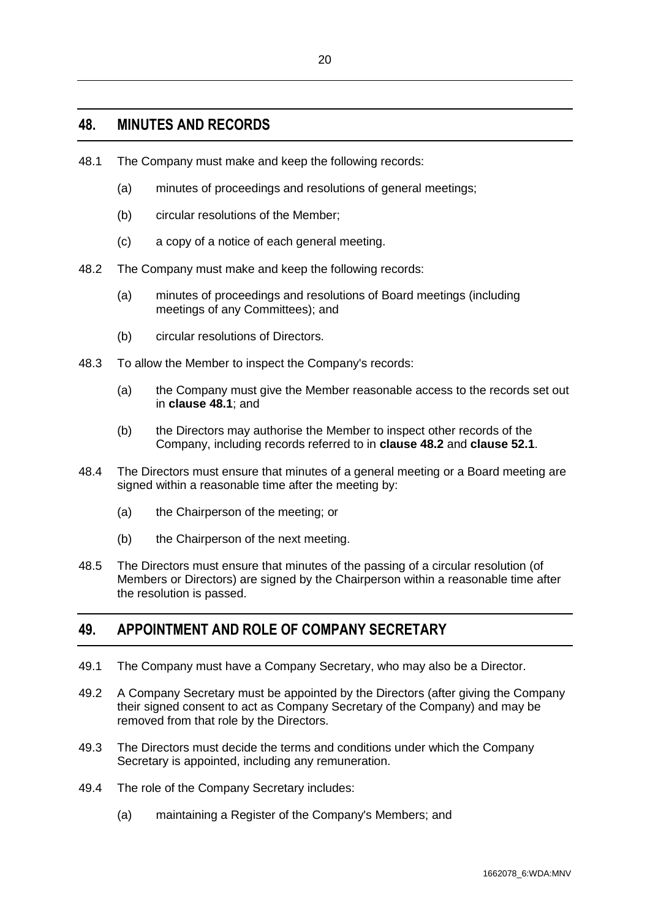#### <span id="page-22-0"></span>**48. MINUTES AND RECORDS**

- <span id="page-22-2"></span>48.1 The Company must make and keep the following records:
	- (a) minutes of proceedings and resolutions of general meetings;
	- (b) circular resolutions of the Member;
	- (c) a copy of a notice of each general meeting.
- <span id="page-22-3"></span>48.2 The Company must make and keep the following records:
	- (a) minutes of proceedings and resolutions of Board meetings (including meetings of any Committees); and
	- (b) circular resolutions of Directors.
- 48.3 To allow the Member to inspect the Company's records:
	- (a) the Company must give the Member reasonable access to the records set out in **clause [48.1](#page-22-2)**; and
	- (b) the Directors may authorise the Member to inspect other records of the Company, including records referred to in **clause [48.2](#page-22-3)** and **clause [52.1](#page-23-3)**.
- 48.4 The Directors must ensure that minutes of a general meeting or a Board meeting are signed within a reasonable time after the meeting by:
	- (a) the Chairperson of the meeting; or
	- (b) the Chairperson of the next meeting.
- 48.5 The Directors must ensure that minutes of the passing of a circular resolution (of Members or Directors) are signed by the Chairperson within a reasonable time after the resolution is passed.

## <span id="page-22-1"></span>**49. APPOINTMENT AND ROLE OF COMPANY SECRETARY**

- 49.1 The Company must have a Company Secretary, who may also be a Director.
- 49.2 A Company Secretary must be appointed by the Directors (after giving the Company their signed consent to act as Company Secretary of the Company) and may be removed from that role by the Directors.
- 49.3 The Directors must decide the terms and conditions under which the Company Secretary is appointed, including any remuneration.
- 49.4 The role of the Company Secretary includes:
	- (a) maintaining a Register of the Company's Members; and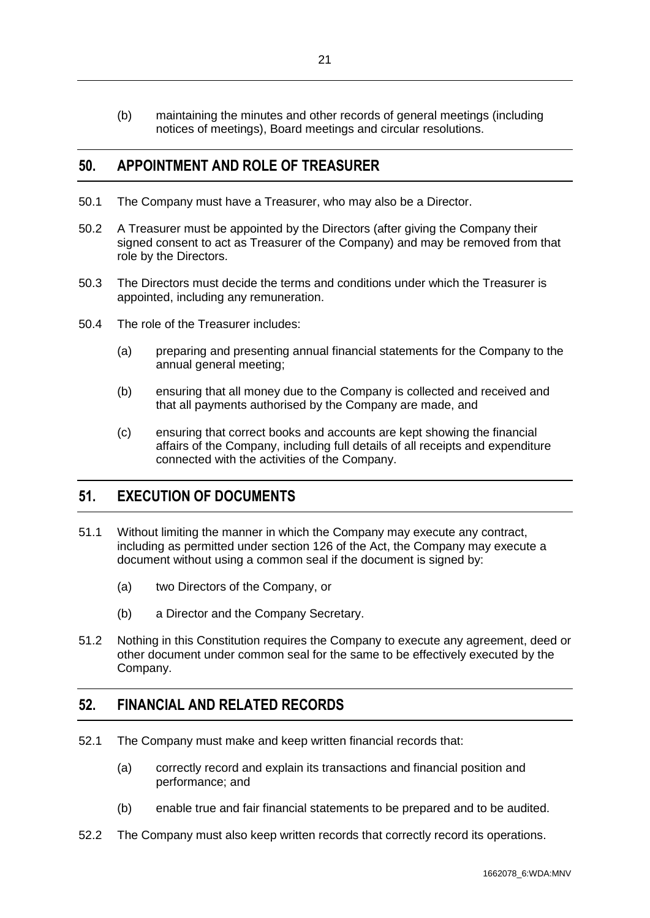(b) maintaining the minutes and other records of general meetings (including notices of meetings), Board meetings and circular resolutions.

#### <span id="page-23-0"></span>**50. APPOINTMENT AND ROLE OF TREASURER**

- 50.1 The Company must have a Treasurer, who may also be a Director.
- 50.2 A Treasurer must be appointed by the Directors (after giving the Company their signed consent to act as Treasurer of the Company) and may be removed from that role by the Directors.
- 50.3 The Directors must decide the terms and conditions under which the Treasurer is appointed, including any remuneration.
- 50.4 The role of the Treasurer includes:
	- (a) preparing and presenting annual financial statements for the Company to the annual general meeting;
	- (b) ensuring that all money due to the Company is collected and received and that all payments authorised by the Company are made, and
	- (c) ensuring that correct books and accounts are kept showing the financial affairs of the Company, including full details of all receipts and expenditure connected with the activities of the Company.

## <span id="page-23-1"></span>**51. EXECUTION OF DOCUMENTS**

- 51.1 Without limiting the manner in which the Company may execute any contract, including as permitted under section 126 of the Act, the Company may execute a document without using a common seal if the document is signed by:
	- (a) two Directors of the Company, or
	- (b) a Director and the Company Secretary.
- 51.2 Nothing in this Constitution requires the Company to execute any agreement, deed or other document under common seal for the same to be effectively executed by the Company.

## <span id="page-23-2"></span>**52. FINANCIAL AND RELATED RECORDS**

- <span id="page-23-3"></span>52.1 The Company must make and keep written financial records that:
	- (a) correctly record and explain its transactions and financial position and performance; and
	- (b) enable true and fair financial statements to be prepared and to be audited.
- 52.2 The Company must also keep written records that correctly record its operations.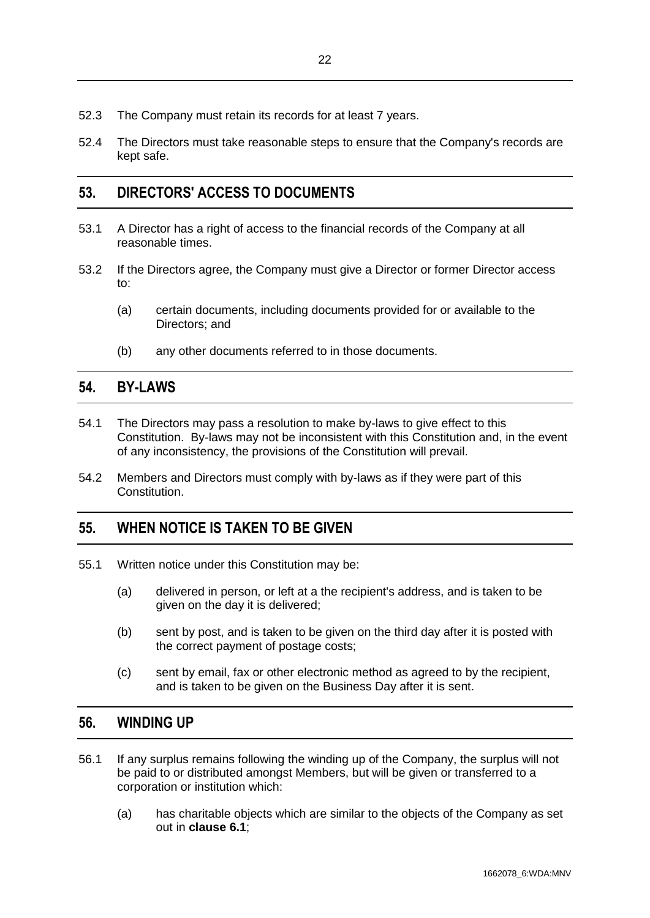- 52.3 The Company must retain its records for at least 7 years.
- 52.4 The Directors must take reasonable steps to ensure that the Company's records are kept safe.

## <span id="page-24-0"></span>**53. DIRECTORS' ACCESS TO DOCUMENTS**

- 53.1 A Director has a right of access to the financial records of the Company at all reasonable times.
- 53.2 If the Directors agree, the Company must give a Director or former Director access to:
	- (a) certain documents, including documents provided for or available to the Directors; and
	- (b) any other documents referred to in those documents.

#### <span id="page-24-1"></span>**54. BY-LAWS**

- 54.1 The Directors may pass a resolution to make by-laws to give effect to this Constitution. By-laws may not be inconsistent with this Constitution and, in the event of any inconsistency, the provisions of the Constitution will prevail.
- 54.2 Members and Directors must comply with by-laws as if they were part of this Constitution.

## <span id="page-24-2"></span>**55. WHEN NOTICE IS TAKEN TO BE GIVEN**

- 55.1 Written notice under this Constitution may be:
	- (a) delivered in person, or left at a the recipient's address, and is taken to be given on the day it is delivered;
	- (b) sent by post, and is taken to be given on the third day after it is posted with the correct payment of postage costs;
	- (c) sent by email, fax or other electronic method as agreed to by the recipient, and is taken to be given on the Business Day after it is sent.

#### <span id="page-24-3"></span>**56. WINDING UP**

- <span id="page-24-4"></span>56.1 If any surplus remains following the winding up of the Company, the surplus will not be paid to or distributed amongst Members, but will be given or transferred to a corporation or institution which:
	- (a) has charitable objects which are similar to the objects of the Company as set out in **clause [6.1](#page-6-2)**;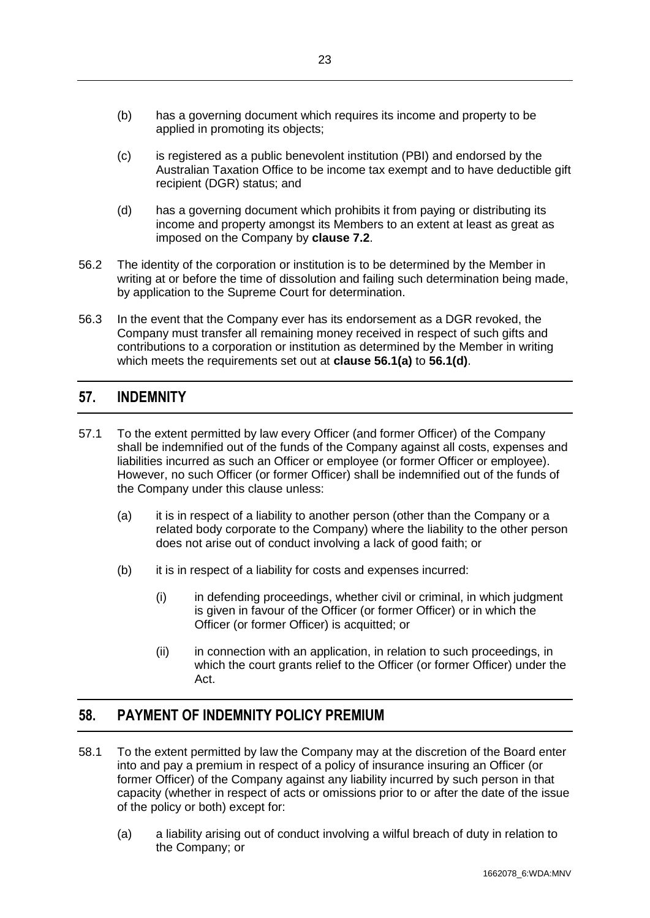- (b) has a governing document which requires its income and property to be applied in promoting its objects;
- (c) is registered as a public benevolent institution (PBI) and endorsed by the Australian Taxation Office to be income tax exempt and to have deductible gift recipient (DGR) status; and
- <span id="page-25-2"></span>(d) has a governing document which prohibits it from paying or distributing its income and property amongst its Members to an extent at least as great as imposed on the Company by **clause [7.2](#page-6-4)**.
- 56.2 The identity of the corporation or institution is to be determined by the Member in writing at or before the time of dissolution and failing such determination being made, by application to the Supreme Court for determination.
- 56.3 In the event that the Company ever has its endorsement as a DGR revoked, the Company must transfer all remaining money received in respect of such gifts and contributions to a corporation or institution as determined by the Member in writing which meets the requirements set out at **clause [56.1\(a\)](#page-24-4)** to **[56.1\(d\)](#page-25-2)**.

## <span id="page-25-0"></span>**57. INDEMNITY**

- 57.1 To the extent permitted by law every Officer (and former Officer) of the Company shall be indemnified out of the funds of the Company against all costs, expenses and liabilities incurred as such an Officer or employee (or former Officer or employee). However, no such Officer (or former Officer) shall be indemnified out of the funds of the Company under this clause unless:
	- (a) it is in respect of a liability to another person (other than the Company or a related body corporate to the Company) where the liability to the other person does not arise out of conduct involving a lack of good faith; or
	- (b) it is in respect of a liability for costs and expenses incurred:
		- (i) in defending proceedings, whether civil or criminal, in which judgment is given in favour of the Officer (or former Officer) or in which the Officer (or former Officer) is acquitted; or
		- (ii) in connection with an application, in relation to such proceedings, in which the court grants relief to the Officer (or former Officer) under the Act.

## <span id="page-25-1"></span>**58. PAYMENT OF INDEMNITY POLICY PREMIUM**

- 58.1 To the extent permitted by law the Company may at the discretion of the Board enter into and pay a premium in respect of a policy of insurance insuring an Officer (or former Officer) of the Company against any liability incurred by such person in that capacity (whether in respect of acts or omissions prior to or after the date of the issue of the policy or both) except for:
	- (a) a liability arising out of conduct involving a wilful breach of duty in relation to the Company; or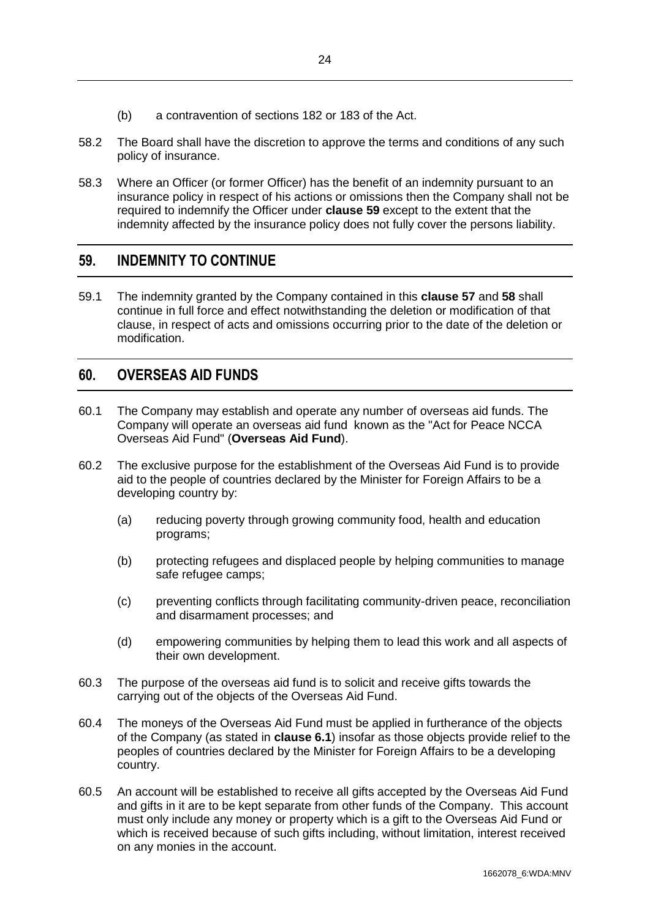- (b) a contravention of sections 182 or 183 of the Act.
- 58.2 The Board shall have the discretion to approve the terms and conditions of any such policy of insurance.
- 58.3 Where an Officer (or former Officer) has the benefit of an indemnity pursuant to an insurance policy in respect of his actions or omissions then the Company shall not be required to indemnify the Officer under **clause [59](#page-26-0)** except to the extent that the indemnity affected by the insurance policy does not fully cover the persons liability.

## <span id="page-26-0"></span>**59. INDEMNITY TO CONTINUE**

59.1 The indemnity granted by the Company contained in this **clause [57](#page-25-0)** and **[58](#page-25-1)** shall continue in full force and effect notwithstanding the deletion or modification of that clause, in respect of acts and omissions occurring prior to the date of the deletion or modification.

#### <span id="page-26-1"></span>**60. OVERSEAS AID FUNDS**

- 60.1 The Company may establish and operate any number of overseas aid funds. The Company will operate an overseas aid fund known as the "Act for Peace NCCA Overseas Aid Fund" (**Overseas Aid Fund**).
- 60.2 The exclusive purpose for the establishment of the Overseas Aid Fund is to provide aid to the people of countries declared by the Minister for Foreign Affairs to be a developing country by:
	- (a) reducing poverty through growing community food, health and education programs;
	- (b) protecting refugees and displaced people by helping communities to manage safe refugee camps;
	- (c) preventing conflicts through facilitating community-driven peace, reconciliation and disarmament processes; and
	- (d) empowering communities by helping them to lead this work and all aspects of their own development.
- 60.3 The purpose of the overseas aid fund is to solicit and receive gifts towards the carrying out of the objects of the Overseas Aid Fund.
- 60.4 The moneys of the Overseas Aid Fund must be applied in furtherance of the objects of the Company (as stated in **clause [6.1](#page-6-2)**) insofar as those objects provide relief to the peoples of countries declared by the Minister for Foreign Affairs to be a developing country.
- 60.5 An account will be established to receive all gifts accepted by the Overseas Aid Fund and gifts in it are to be kept separate from other funds of the Company. This account must only include any money or property which is a gift to the Overseas Aid Fund or which is received because of such gifts including, without limitation, interest received on any monies in the account.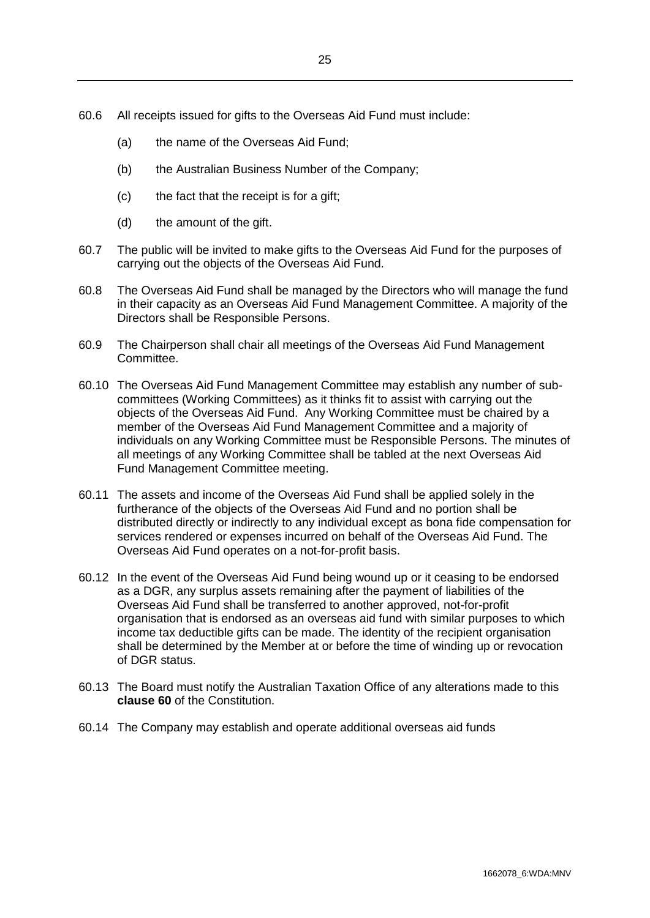- 60.6 All receipts issued for gifts to the Overseas Aid Fund must include:
	- (a) the name of the Overseas Aid Fund;
	- (b) the Australian Business Number of the Company;
	- (c) the fact that the receipt is for a gift;
	- (d) the amount of the gift.
- 60.7 The public will be invited to make gifts to the Overseas Aid Fund for the purposes of carrying out the objects of the Overseas Aid Fund.
- 60.8 The Overseas Aid Fund shall be managed by the Directors who will manage the fund in their capacity as an Overseas Aid Fund Management Committee. A majority of the Directors shall be Responsible Persons.
- 60.9 The Chairperson shall chair all meetings of the Overseas Aid Fund Management Committee.
- 60.10 The Overseas Aid Fund Management Committee may establish any number of subcommittees (Working Committees) as it thinks fit to assist with carrying out the objects of the Overseas Aid Fund. Any Working Committee must be chaired by a member of the Overseas Aid Fund Management Committee and a majority of individuals on any Working Committee must be Responsible Persons. The minutes of all meetings of any Working Committee shall be tabled at the next Overseas Aid Fund Management Committee meeting.
- 60.11 The assets and income of the Overseas Aid Fund shall be applied solely in the furtherance of the objects of the Overseas Aid Fund and no portion shall be distributed directly or indirectly to any individual except as bona fide compensation for services rendered or expenses incurred on behalf of the Overseas Aid Fund. The Overseas Aid Fund operates on a not-for-profit basis.
- 60.12 In the event of the Overseas Aid Fund being wound up or it ceasing to be endorsed as a DGR, any surplus assets remaining after the payment of liabilities of the Overseas Aid Fund shall be transferred to another approved, not-for-profit organisation that is endorsed as an overseas aid fund with similar purposes to which income tax deductible gifts can be made. The identity of the recipient organisation shall be determined by the Member at or before the time of winding up or revocation of DGR status.
- 60.13 The Board must notify the Australian Taxation Office of any alterations made to this **clause [60](#page-26-1)** of the Constitution.
- 60.14 The Company may establish and operate additional overseas aid funds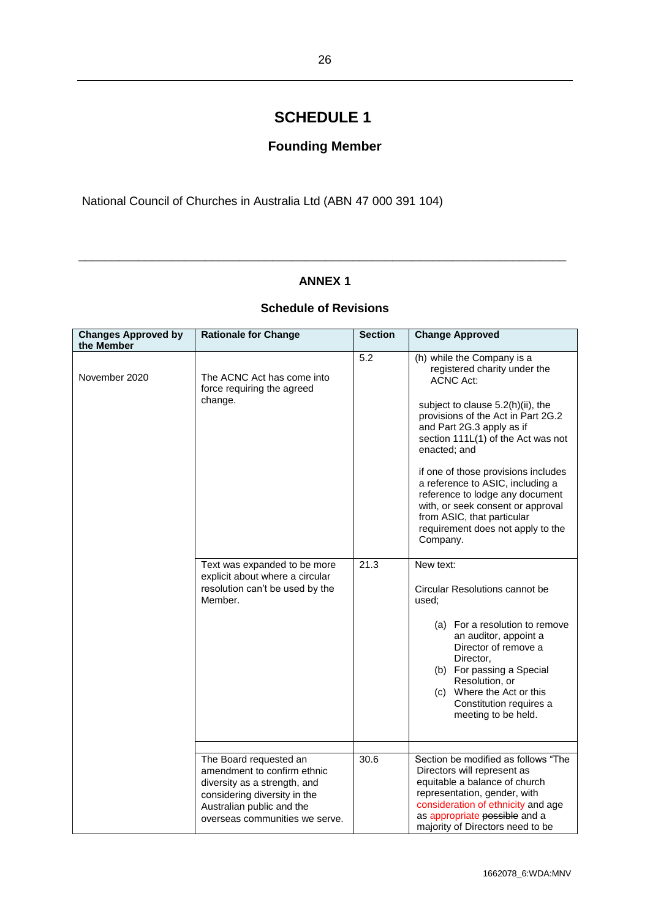## <span id="page-28-0"></span>**SCHEDULE 1**

## **Founding Member**

<span id="page-28-1"></span>National Council of Churches in Australia Ltd (ABN 47 000 391 104)

#### **ANNEX 1**

\_\_\_\_\_\_\_\_\_\_\_\_\_\_\_\_\_\_\_\_\_\_\_\_\_\_\_\_\_\_\_\_\_\_\_\_\_\_\_\_\_\_\_\_\_\_\_\_\_\_\_\_\_\_\_\_\_\_\_\_\_\_\_\_\_\_\_\_\_\_\_\_\_

#### **Schedule of Revisions**

| <b>Changes Approved by</b><br>the Member | <b>Rationale for Change</b>                                                                                                                                                          | <b>Section</b> | <b>Change Approved</b>                                                                                                                                                                                                                                                                                                                                                                                                                                                         |
|------------------------------------------|--------------------------------------------------------------------------------------------------------------------------------------------------------------------------------------|----------------|--------------------------------------------------------------------------------------------------------------------------------------------------------------------------------------------------------------------------------------------------------------------------------------------------------------------------------------------------------------------------------------------------------------------------------------------------------------------------------|
| November 2020                            | The ACNC Act has come into<br>force requiring the agreed<br>change.                                                                                                                  | 5.2            | (h) while the Company is a<br>registered charity under the<br><b>ACNC Act:</b><br>subject to clause 5.2(h)(ii), the<br>provisions of the Act in Part 2G.2<br>and Part 2G.3 apply as if<br>section 111L(1) of the Act was not<br>enacted; and<br>if one of those provisions includes<br>a reference to ASIC, including a<br>reference to lodge any document<br>with, or seek consent or approval<br>from ASIC, that particular<br>requirement does not apply to the<br>Company. |
|                                          | Text was expanded to be more<br>explicit about where a circular<br>resolution can't be used by the<br>Member.                                                                        | 21.3           | New text:<br>Circular Resolutions cannot be<br>used:<br>(a) For a resolution to remove<br>an auditor, appoint a<br>Director of remove a<br>Director,<br>(b) For passing a Special<br>Resolution, or<br>(c) Where the Act or this<br>Constitution requires a<br>meeting to be held.                                                                                                                                                                                             |
|                                          | The Board requested an<br>amendment to confirm ethnic<br>diversity as a strength, and<br>considering diversity in the<br>Australian public and the<br>overseas communities we serve. | 30.6           | Section be modified as follows "The<br>Directors will represent as<br>equitable a balance of church<br>representation, gender, with<br>consideration of ethnicity and age<br>as appropriate possible and a<br>majority of Directors need to be                                                                                                                                                                                                                                 |